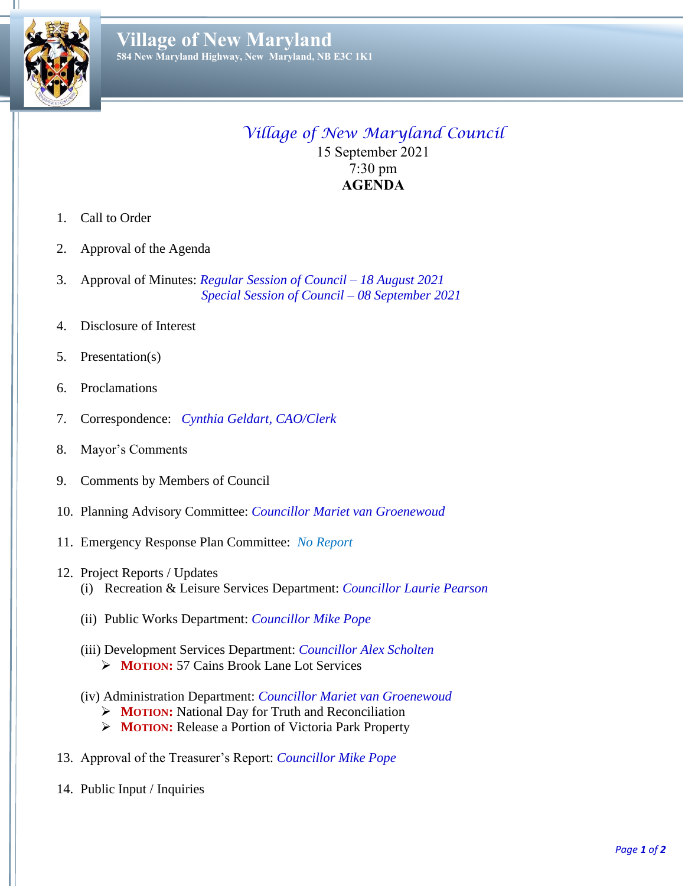

Ш

## *Village of New Maryland Council* 15 September 2021 7:30 pm **AGENDA**

- 1. Call to Order
- 2. Approval of the Agenda
- 3. Approval of Minutes: *Regular Session of Council – 18 August 2021 Special Session of Council – 08 September 2021*
- 4. Disclosure of Interest
- 5. Presentation(s)
- 6. Proclamations
- 7. Correspondence: *Cynthia Geldart, CAO/Clerk*
- 8. Mayor's Comments
- 9. Comments by Members of Council
- 10. Planning Advisory Committee: *Councillor Mariet van Groenewoud*
- 11. Emergency Response Plan Committee: *No Report*
- 12. Project Reports / Updates
	- (i) Recreation & Leisure Services Department: *Councillor Laurie Pearson*
	- (ii) Public Works Department: *Councillor Mike Pope*
	- (iii) Development Services Department: *Councillor Alex Scholten* ➢ **MOTION:** 57 Cains Brook Lane Lot Services
	- (iv) Administration Department: *Councillor Mariet van Groenewoud*
		- ➢ **MOTION:** National Day for Truth and Reconciliation
		- ➢ **MOTION:** Release a Portion of Victoria Park Property
- 13. Approval of the Treasurer's Report: *Councillor Mike Pope*
- 14. Public Input / Inquiries